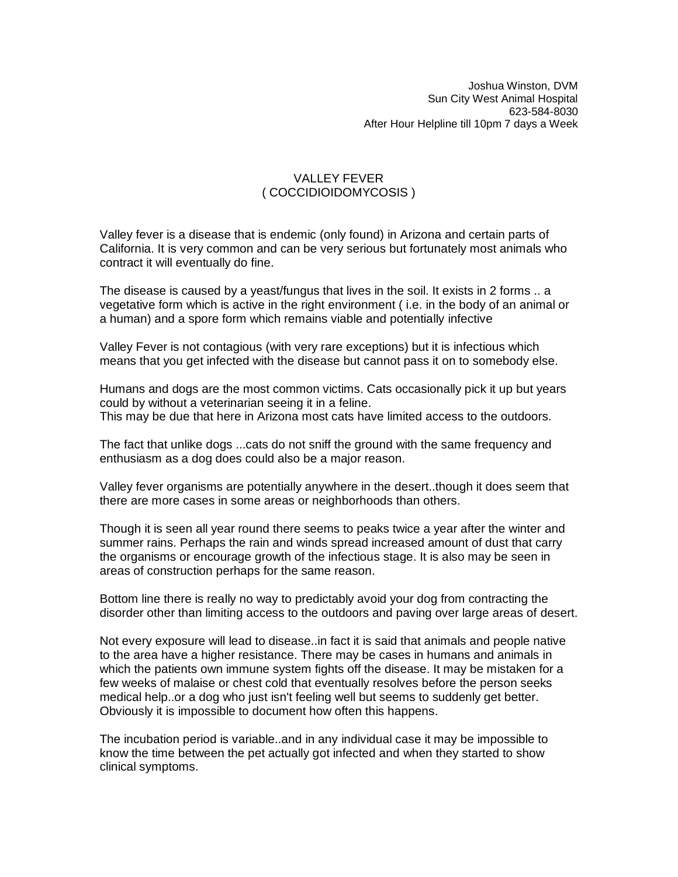## VALLEY FEVER ( COCCIDIOIDOMYCOSIS )

Valley fever is a disease that is endemic (only found) in Arizona and certain parts of California. It is very common and can be very serious but fortunately most animals who contract it will eventually do fine.

The disease is caused by a yeast/fungus that lives in the soil. It exists in 2 forms .. a vegetative form which is active in the right environment ( i.e. in the body of an animal or a human) and a spore form which remains viable and potentially infective

Valley Fever is not contagious (with very rare exceptions) but it is infectious which means that you get infected with the disease but cannot pass it on to somebody else.

Humans and dogs are the most common victims. Cats occasionally pick it up but years could by without a veterinarian seeing it in a feline.

This may be due that here in Arizona most cats have limited access to the outdoors.

The fact that unlike dogs ...cats do not sniff the ground with the same frequency and enthusiasm as a dog does could also be a major reason.

Valley fever organisms are potentially anywhere in the desert..though it does seem that there are more cases in some areas or neighborhoods than others.

Though it is seen all year round there seems to peaks twice a year after the winter and summer rains. Perhaps the rain and winds spread increased amount of dust that carry the organisms or encourage growth of the infectious stage. It is also may be seen in areas of construction perhaps for the same reason.

Bottom line there is really no way to predictably avoid your dog from contracting the disorder other than limiting access to the outdoors and paving over large areas of desert.

Not every exposure will lead to disease..in fact it is said that animals and people native to the area have a higher resistance. There may be cases in humans and animals in which the patients own immune system fights off the disease. It may be mistaken for a few weeks of malaise or chest cold that eventually resolves before the person seeks medical help..or a dog who just isn't feeling well but seems to suddenly get better. Obviously it is impossible to document how often this happens.

The incubation period is variable..and in any individual case it may be impossible to know the time between the pet actually got infected and when they started to show clinical symptoms.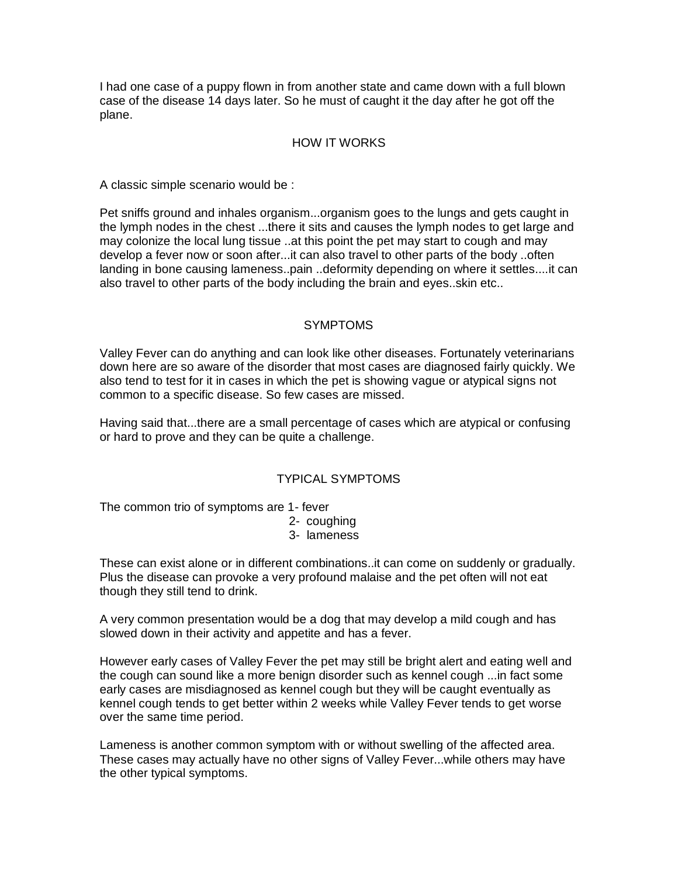I had one case of a puppy flown in from another state and came down with a full blown case of the disease 14 days later. So he must of caught it the day after he got off the plane.

#### HOW IT WORKS

A classic simple scenario would be :

Pet sniffs ground and inhales organism...organism goes to the lungs and gets caught in the lymph nodes in the chest ...there it sits and causes the lymph nodes to get large and may colonize the local lung tissue ..at this point the pet may start to cough and may develop a fever now or soon after...it can also travel to other parts of the body ..often landing in bone causing lameness..pain ..deformity depending on where it settles....it can also travel to other parts of the body including the brain and eyes..skin etc..

## SYMPTOMS

Valley Fever can do anything and can look like other diseases. Fortunately veterinarians down here are so aware of the disorder that most cases are diagnosed fairly quickly. We also tend to test for it in cases in which the pet is showing vague or atypical signs not common to a specific disease. So few cases are missed.

Having said that...there are a small percentage of cases which are atypical or confusing or hard to prove and they can be quite a challenge.

# TYPICAL SYMPTOMS

The common trio of symptoms are 1- fever

2- coughing

3- lameness

These can exist alone or in different combinations..it can come on suddenly or gradually. Plus the disease can provoke a very profound malaise and the pet often will not eat though they still tend to drink.

A very common presentation would be a dog that may develop a mild cough and has slowed down in their activity and appetite and has a fever.

However early cases of Valley Fever the pet may still be bright alert and eating well and the cough can sound like a more benign disorder such as kennel cough ...in fact some early cases are misdiagnosed as kennel cough but they will be caught eventually as kennel cough tends to get better within 2 weeks while Valley Fever tends to get worse over the same time period.

Lameness is another common symptom with or without swelling of the affected area. These cases may actually have no other signs of Valley Fever...while others may have the other typical symptoms.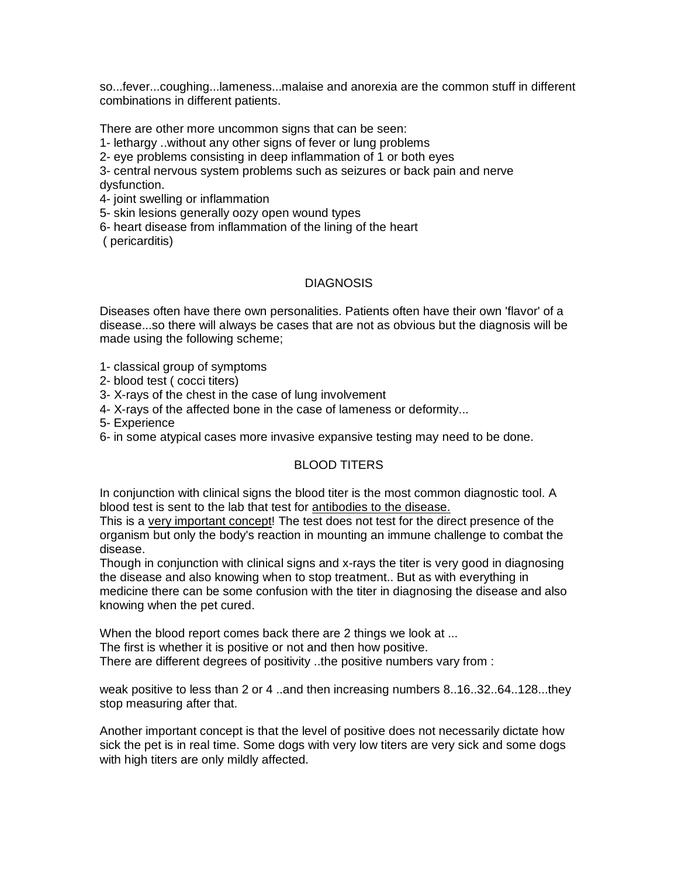so...fever...coughing...lameness...malaise and anorexia are the common stuff in different combinations in different patients.

There are other more uncommon signs that can be seen:

1- lethargy ..without any other signs of fever or lung problems

2- eye problems consisting in deep inflammation of 1 or both eyes

3- central nervous system problems such as seizures or back pain and nerve dysfunction.

4- joint swelling or inflammation

5- skin lesions generally oozy open wound types

6- heart disease from inflammation of the lining of the heart

( pericarditis)

#### **DIAGNOSIS**

Diseases often have there own personalities. Patients often have their own 'flavor' of a disease...so there will always be cases that are not as obvious but the diagnosis will be made using the following scheme;

1- classical group of symptoms

2- blood test ( cocci titers)

3- X-rays of the chest in the case of lung involvement

4- X-rays of the affected bone in the case of lameness or deformity...

5- Experience

6- in some atypical cases more invasive expansive testing may need to be done.

#### BLOOD TITERS

In conjunction with clinical signs the blood titer is the most common diagnostic tool. A blood test is sent to the lab that test for antibodies to the disease.

This is a very important concept! The test does not test for the direct presence of the organism but only the body's reaction in mounting an immune challenge to combat the disease.

Though in conjunction with clinical signs and x-rays the titer is very good in diagnosing the disease and also knowing when to stop treatment.. But as with everything in medicine there can be some confusion with the titer in diagnosing the disease and also knowing when the pet cured.

When the blood report comes back there are 2 things we look at ... The first is whether it is positive or not and then how positive.

There are different degrees of positivity ..the positive numbers vary from :

weak positive to less than 2 or 4 ..and then increasing numbers 8..16..32..64..128...they stop measuring after that.

Another important concept is that the level of positive does not necessarily dictate how sick the pet is in real time. Some dogs with very low titers are very sick and some dogs with high titers are only mildly affected.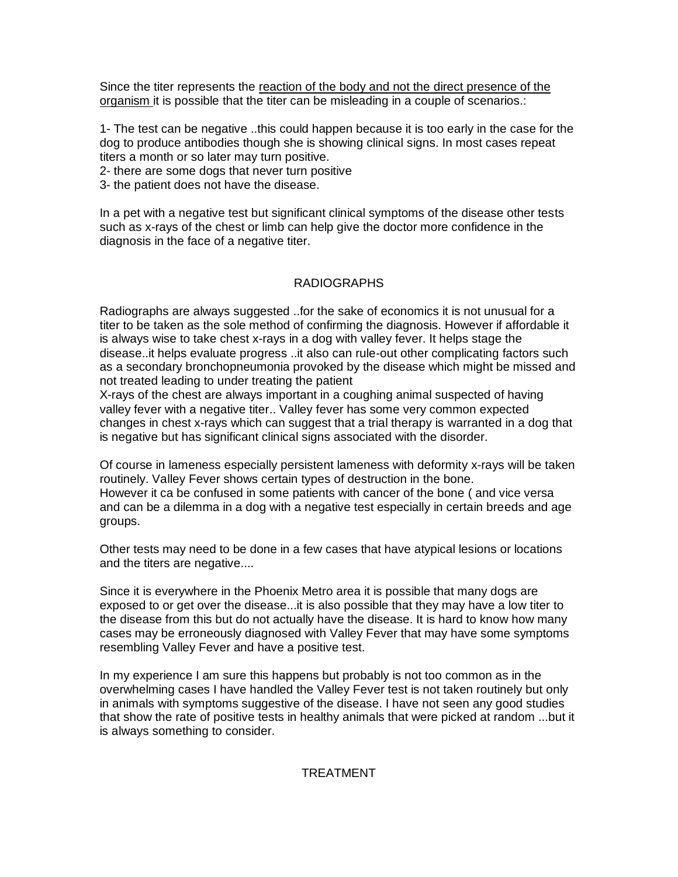Since the titer represents the reaction of the body and not the direct presence of the organism it is possible that the titer can be misleading in a couple of scenarios.:

1- The test can be negative ..this could happen because it is too early in the case for the dog to produce antibodies though she is showing clinical signs. In most cases repeat titers a month or so later may turn positive.

2- there are some dogs that never turn positive

3- the patient does not have the disease.

In a pet with a negative test but significant clinical symptoms of the disease other tests such as x-rays of the chest or limb can help give the doctor more confidence in the diagnosis in the face of a negative titer.

# RADIOGRAPHS

Radiographs are always suggested ..for the sake of economics it is not unusual for a titer to be taken as the sole method of confirming the diagnosis. However if affordable it is always wise to take chest x-rays in a dog with valley fever. It helps stage the disease..it helps evaluate progress ..it also can rule-out other complicating factors such as a secondary bronchopneumonia provoked by the disease which might be missed and not treated leading to under treating the patient

X-rays of the chest are always important in a coughing animal suspected of having valley fever with a negative titer.. Valley fever has some very common expected changes in chest x-rays which can suggest that a trial therapy is warranted in a dog that is negative but has significant clinical signs associated with the disorder.

Of course in lameness especially persistent lameness with deformity x-rays will be taken routinely. Valley Fever shows certain types of destruction in the bone. However it ca be confused in some patients with cancer of the bone ( and vice versa and can be a dilemma in a dog with a negative test especially in certain breeds and age groups.

Other tests may need to be done in a few cases that have atypical lesions or locations and the titers are negative....

Since it is everywhere in the Phoenix Metro area it is possible that many dogs are exposed to or get over the disease...it is also possible that they may have a low titer to the disease from this but do not actually have the disease. It is hard to know how many cases may be erroneously diagnosed with Valley Fever that may have some symptoms resembling Valley Fever and have a positive test.

In my experience I am sure this happens but probably is not too common as in the overwhelming cases I have handled the Valley Fever test is not taken routinely but only in animals with symptoms suggestive of the disease. I have not seen any good studies that show the rate of positive tests in healthy animals that were picked at random ...but it is always something to consider.

# TREATMENT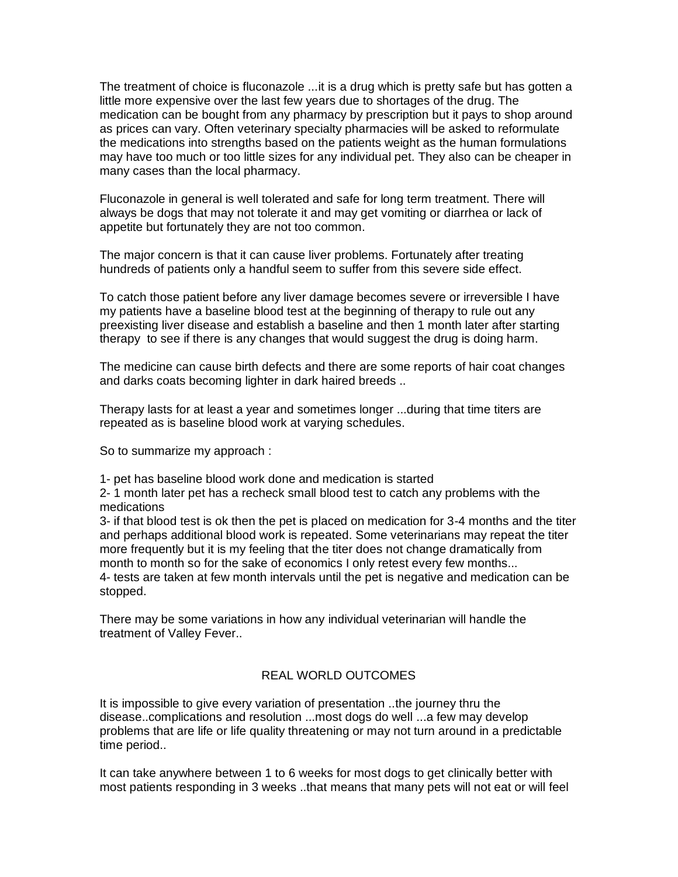The treatment of choice is fluconazole ...it is a drug which is pretty safe but has gotten a little more expensive over the last few years due to shortages of the drug. The medication can be bought from any pharmacy by prescription but it pays to shop around as prices can vary. Often veterinary specialty pharmacies will be asked to reformulate the medications into strengths based on the patients weight as the human formulations may have too much or too little sizes for any individual pet. They also can be cheaper in many cases than the local pharmacy.

Fluconazole in general is well tolerated and safe for long term treatment. There will always be dogs that may not tolerate it and may get vomiting or diarrhea or lack of appetite but fortunately they are not too common.

The major concern is that it can cause liver problems. Fortunately after treating hundreds of patients only a handful seem to suffer from this severe side effect.

To catch those patient before any liver damage becomes severe or irreversible I have my patients have a baseline blood test at the beginning of therapy to rule out any preexisting liver disease and establish a baseline and then 1 month later after starting therapy to see if there is any changes that would suggest the drug is doing harm.

The medicine can cause birth defects and there are some reports of hair coat changes and darks coats becoming lighter in dark haired breeds ..

Therapy lasts for at least a year and sometimes longer ...during that time titers are repeated as is baseline blood work at varying schedules.

So to summarize my approach :

1- pet has baseline blood work done and medication is started

2- 1 month later pet has a recheck small blood test to catch any problems with the medications

3- if that blood test is ok then the pet is placed on medication for 3-4 months and the titer and perhaps additional blood work is repeated. Some veterinarians may repeat the titer more frequently but it is my feeling that the titer does not change dramatically from month to month so for the sake of economics I only retest every few months... 4- tests are taken at few month intervals until the pet is negative and medication can be stopped.

There may be some variations in how any individual veterinarian will handle the treatment of Valley Fever..

#### REAL WORLD OUTCOMES

It is impossible to give every variation of presentation ..the journey thru the disease..complications and resolution ...most dogs do well ...a few may develop problems that are life or life quality threatening or may not turn around in a predictable time period..

It can take anywhere between 1 to 6 weeks for most dogs to get clinically better with most patients responding in 3 weeks ..that means that many pets will not eat or will feel